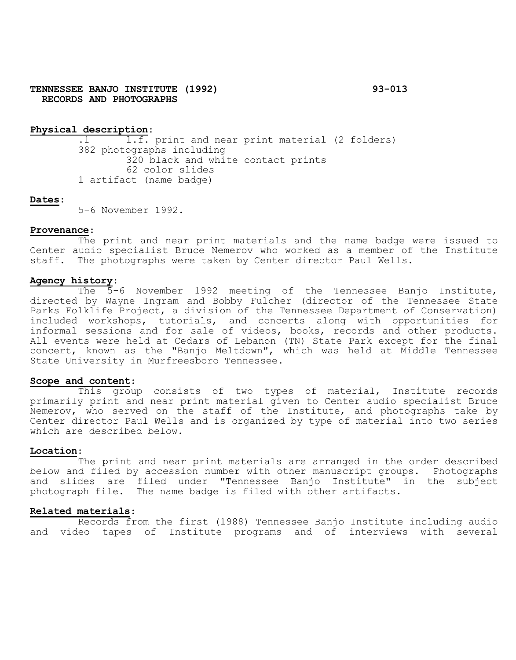## **TENNESSEE BANJO INSTITUTE (1992) 93-013 RECORDS AND PHOTOGRAPHS**

# **Physical description**:

 $\overline{1.f.}$  print and near print material (2 folders) 382 photographs including 320 black and white contact prints 62 color slides 1 artifact (name badge)

# **Dates**:

5-6 November 1992.

#### **Provenance**:

The print and near print materials and the name badge were issued to Center audio specialist Bruce Nemerov who worked as a member of the Institute staff. The photographs were taken by Center director Paul Wells.

# **Agency history**:

The 5-6 November 1992 meeting of the Tennessee Banjo Institute, directed by Wayne Ingram and Bobby Fulcher (director of the Tennessee State Parks Folklife Project, a division of the Tennessee Department of Conservation) included workshops, tutorials, and concerts along with opportunities for informal sessions and for sale of videos, books, records and other products. All events were held at Cedars of Lebanon (TN) State Park except for the final concert, known as the "Banjo Meltdown", which was held at Middle Tennessee State University in Murfreesboro Tennessee.

#### **Scope and content**:

This group consists of two types of material, Institute records primarily print and near print material given to Center audio specialist Bruce Nemerov, who served on the staff of the Institute, and photographs take by Center director Paul Wells and is organized by type of material into two series which are described below.

#### **Location**:

The print and near print materials are arranged in the order described below and filed by accession number with other manuscript groups. Photographs and slides are filed under "Tennessee Banjo Institute" in the subject photograph file. The name badge is filed with other artifacts.

#### **Related materials**:

Records from the first (1988) Tennessee Banjo Institute including audio and video tapes of Institute programs and of interviews with several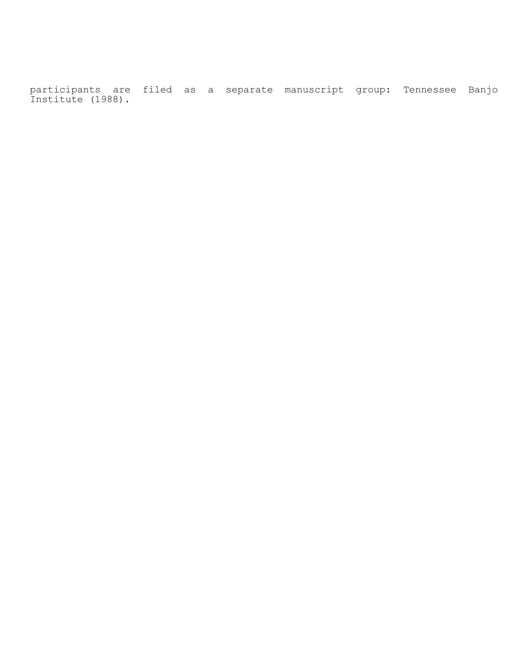participants are filed as a separate manuscript group: Tennessee Banjo Institute (1988).